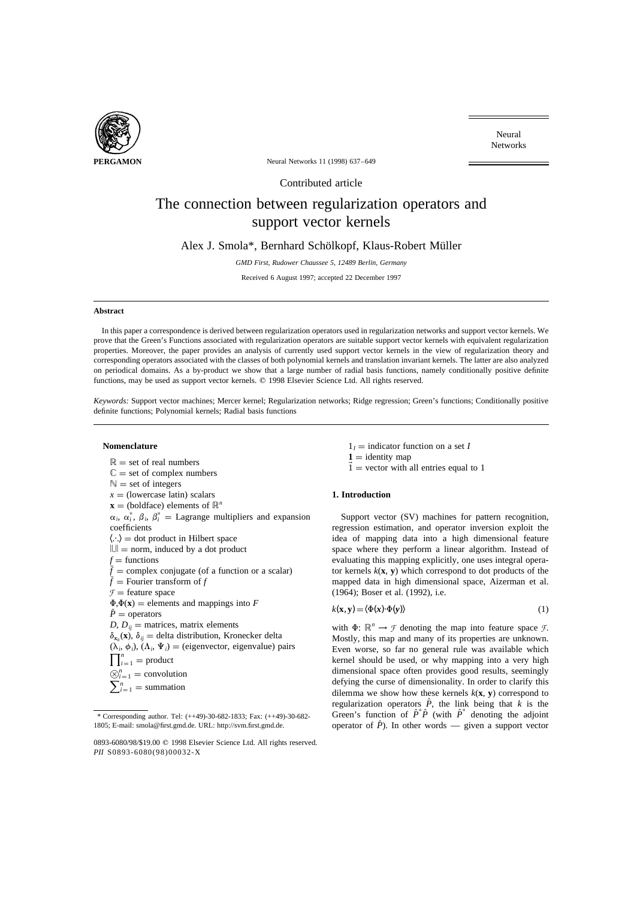

Neural Networks

**PERGAMON** Neural Networks 11 (1998) 637–649

Contributed article

# The connection between regularization operators and support vector kernels

Alex J. Smola\*, Bernhard Schölkopf, Klaus-Robert Müller

*GMD First, Rudower Chaussee 5, 12489 Berlin, Germany*

Received 6 August 1997; accepted 22 December 1997

## **Abstract**

In this paper a correspondence is derived between regularization operators used in regularization networks and support vector kernels. We prove that the Green's Functions associated with regularization operators are suitable support vector kernels with equivalent regularization properties. Moreover, the paper provides an analysis of currently used support vector kernels in the view of regularization theory and corresponding operators associated with the classes of both polynomial kernels and translation invariant kernels. The latter are also analyzed on periodical domains. As a by-product we show that a large number of radial basis functions, namely conditionally positive definite functions, may be used as support vector kernels.  $©$  1998 Elsevier Science Ltd. All rights reserved.

*Keywords:* Support vector machines; Mercer kernel; Regularization networks; Ridge regression; Green's functions; Conditionally positive definite functions; Polynomial kernels; Radial basis functions

## **Nomenclature**

 $\mathbb{R}$  = set of real numbers  $\mathbb{C} =$  set of complex numbers  $\mathbb{N}$  = set of integers  $x =$  (lowercase latin) scalars  $\mathbf{x}$  = (boldface) elements of  $\mathbb{R}^n$  $\alpha_i$ ,  $\alpha_i^*$ ,  $\beta_i$ ,  $\beta_i^*$  = Lagrange multipliers and expansion coefficients  $\langle \cdot \cdot \rangle$  = dot product in Hilbert space  $\Vert \cdot \Vert =$  norm, induced by a dot product *f* = functions<br> $\bar{f}$  = complex conjugate (of a function or a scalar)  $\tilde{f}$  = Fourier transform of *f*  $\mathcal{F}$  = feature space  $\Phi$ , $\Phi$ (**x**) = elements and mappings into *F*  $\hat{P}$  = operators *D*,  $D_{ii}$  = matrices, matrix elements  $\delta_{x_0}(\mathbf{x})$ ,  $\delta_{ij}$  = delta distribution, Kronecker delta  $(\lambda_i, \phi_i)$ ,  $(\Lambda_i, \Psi_i)$  = (eigenvector, eigenvalue) pairs  $\prod_{i=1}^n$  = product  $\bigotimes_{i=1}^{n}$  = convolution  $\sum_{i=1}^{n}$  = summation

- $1<sub>I</sub>$  = indicator function on a set *I*
- $1 =$  identity map
- $\vec{1}$  = vector with all entries equal to 1

## **1. Introduction**

Support vector (SV) machines for pattern recognition, regression estimation, and operator inversion exploit the idea of mapping data into a high dimensional feature space where they perform a linear algorithm. Instead of evaluating this mapping explicitly, one uses integral operator kernels  $k(x, y)$  which correspond to dot products of the mapped data in high dimensional space, Aizerman et al. (1964); Boser et al. (1992), i.e.

$$
k(\mathbf{x}, \mathbf{y}) = \langle \Phi(\mathbf{x}) \cdot \Phi(\mathbf{y}) \rangle \tag{1}
$$

with  $\Phi: \mathbb{R}^n \to \mathcal{F}$  denoting the map into feature space  $\mathcal{F}$ . Mostly, this map and many of its properties are unknown. Even worse, so far no general rule was available which kernel should be used, or why mapping into a very high dimensional space often provides good results, seemingly defying the curse of dimensionality. In order to clarify this dilemma we show how these kernels  $k(\mathbf{x}, \mathbf{y})$  correspond to regularization operators  $\hat{P}$ , the link being that *k* is the Green's function of  $\hat{P}^* \hat{P}$  (with  $\hat{P}^*$  denoting the adjoint operator of  $\hat{P}$ ). In other words — given a support vector

<sup>\*</sup> Corresponding author. Tel: (++49)-30-682-1833; Fax: (++49)-30-682- 1805; E-mail: smola@first.gmd.de. URL: http://svm.first.gmd.de.

<sup>0893-6080/98/\$19.00 © 1998</sup> Elsevier Science Ltd. All rights reserved. *PII* S0893-6080(98)00032-X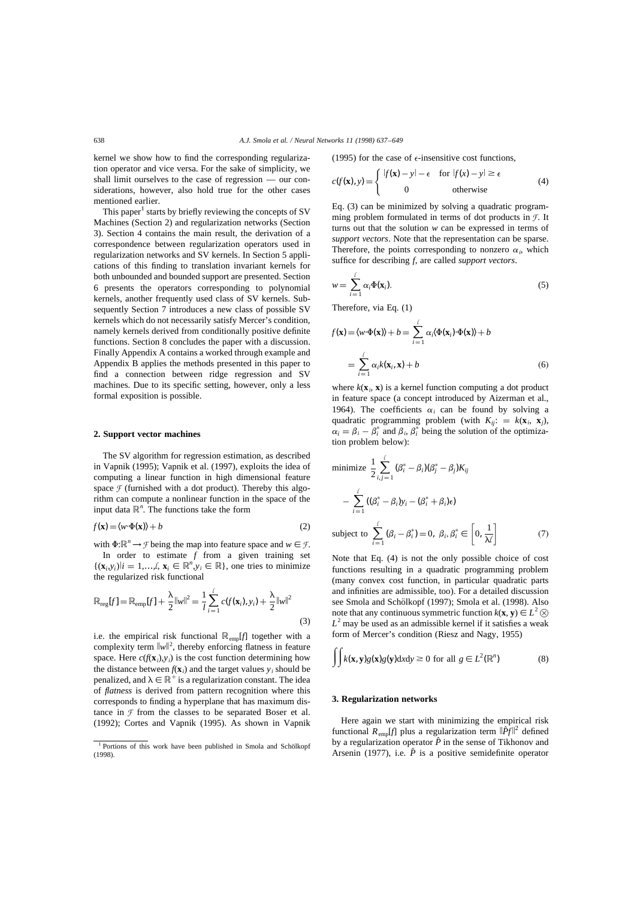kernel we show how to find the corresponding regularization operator and vice versa. For the sake of simplicity, we shall limit ourselves to the case of regression — our considerations, however, also hold true for the other cases mentioned earlier.

This paper<sup>1</sup> starts by briefly reviewing the concepts of SV Machines (Section 2) and regularization networks (Section 3). Section 4 contains the main result, the derivation of a correspondence between regularization operators used in regularization networks and SV kernels. In Section 5 applications of this finding to translation invariant kernels for both unbounded and bounded support are presented. Section 6 presents the operators corresponding to polynomial kernels, another frequently used class of SV kernels. Subsequently Section 7 introduces a new class of possible SV kernels which do not necessarily satisfy Mercer's condition, namely kernels derived from conditionally positive definite functions. Section 8 concludes the paper with a discussion. Finally Appendix A contains a worked through example and Appendix B applies the methods presented in this paper to find a connection between ridge regression and SV machines. Due to its specific setting, however, only a less formal exposition is possible.

## **2. Support vector machines**

The SV algorithm for regression estimation, as described in Vapnik (1995); Vapnik et al. (1997), exploits the idea of computing a linear function in high dimensional feature space  $\mathcal F$  (furnished with a dot product). Thereby this algorithm can compute a nonlinear function in the space of the input data  $\mathbb{R}^n$ . The functions take the form

$$
f(\mathbf{x}) = \langle w \cdot \Phi(\mathbf{x}) \rangle + b \tag{2}
$$

with  $\Phi: \mathbb{R}^n \to \mathcal{F}$  being the map into feature space and  $w \in \mathcal{F}$ . In order to estimate *f* from a given training set

 $\{(x_i, y_i)|i = 1, \ldots, \ell, x_i \in \mathbb{R}^n, y_i \in \mathbb{R}\},\$ one tries to minimize the regularized risk functional

$$
\mathbb{R}_{reg}[f] = \mathbb{R}_{emp}[f] + \frac{\lambda}{2} ||w||^2 = \frac{1}{l} \sum_{i=1}^{l} c(f(\mathbf{x}_i), y_i) + \frac{\lambda}{2} ||w||^2
$$
\n(3)

i.e. the empirical risk functional  $\mathbb{R}_{\text{enn}}[f]$  together with a complexity term  $\|w\|^2$ , thereby enforcing flatness in feature space. Here  $c(f(\mathbf{x}_i), y_i)$  is the cost function determining how the distance between  $f(\mathbf{x}_i)$  and the target values  $y_i$  should be penalized, and  $\lambda \in \mathbb{R}^+$  is a regularization constant. The idea of *flatness* is derived from pattern recognition where this corresponds to finding a hyperplane that has maximum distance in  $\mathcal F$  from the classes to be separated Boser et al. (1992); Cortes and Vapnik (1995). As shown in Vapnik (1995) for the case of  $\epsilon$ -insensitive cost functions,

$$
c(f(\mathbf{x}), y) = \begin{cases} |f(\mathbf{x}) - y| - \epsilon & \text{for } |f(x) - y| \ge \epsilon \\ 0 & \text{otherwise} \end{cases}
$$
(4)

Eq. (3) can be minimized by solving a quadratic programming problem formulated in terms of dot products in *F*. It turns out that the solution *w* can be expressed in terms of *support vectors*. Note that the representation can be sparse. Therefore, the points corresponding to nonzero  $\alpha_i$ , which suffice for describing *f*, are called *support vectors*.

$$
w = \sum_{i=1}^l \alpha_i \Phi(\mathbf{x}_i). \tag{5}
$$

Therefore, via Eq. (1)

$$
f(\mathbf{x}) = \langle w \cdot \Phi(\mathbf{x}) \rangle + b = \sum_{i=1}^l \alpha_i \langle \Phi(\mathbf{x}_i) \cdot \Phi(\mathbf{x}) \rangle + b
$$
  
= 
$$
\sum_{i=1}^l \alpha_i k(\mathbf{x}_i, \mathbf{x}) + b
$$
 (6)

where  $k(\mathbf{x}_i, \mathbf{x})$  is a kernel function computing a dot product in feature space (a concept introduced by Aizerman et al., 1964). The coefficients  $\alpha_i$  can be found by solving a quadratic programming problem (with  $K_{ii}$ : =  $k(\mathbf{x}_i, \mathbf{x}_i)$ ,  $\alpha_i = \beta_i - \beta_i^*$  and  $\beta_i$ ,  $\beta_i^*$  being the solution of the optimization problem below):

minimize 
$$
\frac{1}{2} \sum_{i,j=1}^{\ell} (\beta_i^* - \beta_i)(\beta_j^* - \beta_j)K_{ij}
$$

$$
- \sum_{i=1}^{\ell} ((\beta_i^* - \beta_i)y_i - (\beta_i^* + \beta_i)\epsilon)
$$
subject to 
$$
\sum_{i=1}^{\ell} (\beta_i - \beta_i^*) = 0, \ \beta_i, \beta_i^* \in \left[0, \frac{1}{\lambda \ell}\right]
$$
(7)

Note that Eq. (4) is not the only possible choice of cost functions resulting in a quadratic programming problem (many convex cost function, in particular quadratic parts and infinities are admissible, too). For a detailed discussion see Smola and Schölkopf (1997); Smola et al. (1998). Also note that any continuous symmetric function  $k(\mathbf{x}, \mathbf{y}) \in L^2(\mathbf{x})$  $L^2$  may be used as an admissible kernel if it satisfies a weak form of Mercer's condition (Riesz and Nagy, 1955)

$$
\iint k(\mathbf{x}, \mathbf{y}) g(\mathbf{x}) g(\mathbf{y}) dxdy \ge 0 \text{ for all } g \in L^{2}(\mathbb{R}^{n})
$$
 (8)

## **3. Regularization networks**

Here again we start with minimizing the empirical risk functional  $R_{\text{emp}}[f]$  plus a regularization term  $\|\hat{P}f\|^2$  defined by a regularization operator  $\hat{P}$  in the sense of Tikhonov and Arsenin (1977), i.e.  $\hat{P}$  is a positive semidefinite operator

 $1$  Portions of this work have been published in Smola and Schölkopf (1998).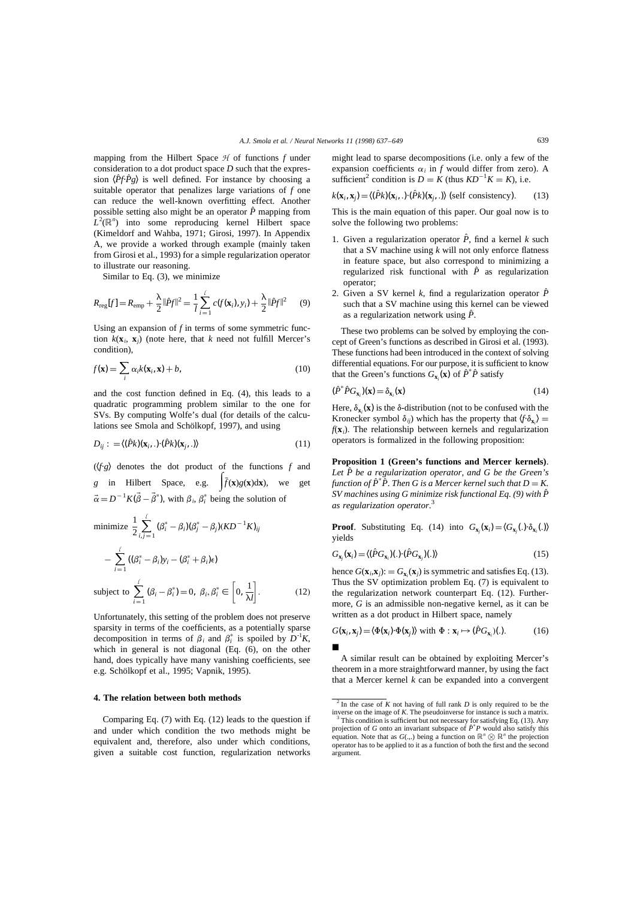mapping from the Hilbert Space *H* of functions *f* under consideration to a dot product space *D* such that the expression  $\langle \hat{P}f \cdot \hat{P}g \rangle$  is well defined. For instance by choosing a suitable operator that penalizes large variations of *f* one can reduce the well-known overfitting effect. Another possible setting also might be an operator  $\hat{P}$  mapping from  $L^2(\mathbb{R}^n)$  into some reproducing kernel Hilbert space (Kimeldorf and Wahba, 1971; Girosi, 1997). In Appendix A, we provide a worked through example (mainly taken from Girosi et al., 1993) for a simple regularization operator to illustrate our reasoning.

Similar to Eq. (3), we minimize

$$
R_{\text{reg}}[f] = R_{\text{emp}} + \frac{\lambda}{2} ||\hat{P}f||^2 = \frac{1}{l} \sum_{i=1}^{l} c(f(\mathbf{x}_i), y_i) + \frac{\lambda}{2} ||\hat{P}f||^2 \tag{9}
$$

Using an expansion of *f* in terms of some symmetric function  $k(\mathbf{x}_i, \mathbf{x}_j)$  (note here, that *k* need not fulfill Mercer's condition),

$$
f(\mathbf{x}) = \sum_{i} \alpha_{i} k(\mathbf{x}_{i}, \mathbf{x}) + b,
$$
\n(10)

and the cost function defined in Eq. (4), this leads to a quadratic programming problem similar to the one for SVs. By computing Wolfe's dual (for details of the calculations see Smola and Schölkopf, 1997), and using

$$
D_{ij} := \langle (\hat{P}k)(\mathbf{x}_i, .) \cdot (\hat{P}k)(\mathbf{x}_j, .) \rangle \tag{11}
$$

 $(\sqrt{f \cdot g})$  denotes the dot product of the functions  $f$  and *g* in Hilbert Space, e.g.  $\int_{a}^{b} f(x)g(x)dx$ , we get  $\vec{\alpha} = D^{-1} K (\vec{\beta} - \vec{\beta}^*)$ , with  $\beta_i$ ,  $\beta_i^*$  being the solution of

minimize 
$$
\frac{1}{2} \sum_{i,j=1}^{\ell} (\beta_i^* - \beta_i)(\beta_j^* - \beta_j)(KD^{-1}K)_{ij}
$$

$$
- \sum_{i=1}^{\ell} ((\beta_i^* - \beta_i)y_i - (\beta_i^* + \beta_i)\epsilon)
$$
subject to 
$$
\sum_{i=1}^{\ell} (\beta_i - \beta_i^*) = 0, \ \beta_i, \beta_i^* \in \left[0, \frac{1}{\lambda l}\right].
$$
 (12)

Unfortunately, this setting of the problem does not preserve sparsity in terms of the coefficients, as a potentially sparse decomposition in terms of  $\beta_i$  and  $\beta_i^*$  is spoiled by  $D^{-1}K$ , which in general is not diagonal (Eq. (6), on the other hand, does typically have many vanishing coefficients, see e.g. Schölkopf et al., 1995; Vapnik, 1995).

#### **4. The relation between both methods**

Comparing Eq. (7) with Eq. (12) leads to the question if and under which condition the two methods might be equivalent and, therefore, also under which conditions, given a suitable cost function, regularization networks

might lead to sparse decompositions (i.e. only a few of the expansion coefficients  $\alpha_i$  in *f* would differ from zero). A sufficient<sup>2</sup> condition is  $D = K$  (thus  $KD^{-1}K = K$ ), i.e.

$$
k(\mathbf{x}_i, \mathbf{x}_j) = \langle (\hat{P}k)(\mathbf{x}_i, .) \cdot (\hat{P}k)(\mathbf{x}_j, .) \rangle \text{ (self consistency)}.
$$
 (13)

This is the main equation of this paper. Our goal now is to solve the following two problems:

- 1. Given a regularization operator  $\hat{P}$ , find a kernel *k* such that a SV machine using  $k$  will not only enforce flatness in feature space, but also correspond to minimizing a regularized risk functional with  $\hat{P}$  as regularization operator;
- 2. Given a SV kernel *k*, find a regularization operator  $\hat{P}$ such that a SV machine using this kernel can be viewed as a regularization network using *P*ˆ.

These two problems can be solved by employing the concept of Green's functions as described in Girosi et al. (1993). These functions had been introduced in the context of solving differential equations. For our purpose, it is sufficient to know that the Green's functions  $G_{\mathbf{x}_i}(\mathbf{x})$  of  $\hat{P}^* \hat{P}$  satisfy

$$
(\hat{P}^* \hat{P} G_{\mathbf{x}_i})(\mathbf{x}) = \delta_{\mathbf{x}_i}(\mathbf{x})
$$
\n(14)

Here,  $\delta_{\mathbf{x}_i}(\mathbf{x})$  is the  $\delta$ -distribution (not to be confused with the Kronecker symbol  $\delta_{ij}$ ) which has the property that  $\langle f \cdot \delta_{x_i} \rangle =$  $f(\mathbf{x}_i)$ . The relationship between kernels and regularization operators is formalized in the following proposition:

**Proposition 1 (Green's functions and Mercer kernels)**. *Let P be a regularization operator, and G be the Green's* ˆ function of  $\hat{P}^* \hat{P}$ . Then G is a Mercer kernel such that  $D = K$ . *SV machines using G minimize risk functional Eq. (9) with P*ˆ *as regularization operator*. 3

**Proof.** Substituting Eq. (14) into  $G_{\mathbf{x}_j}(\mathbf{x}_i) = \langle G_{\mathbf{x}_j}(\cdot) \cdot \delta_{\mathbf{x}_i}(\cdot) \rangle$ yields

$$
G_{\mathbf{x}_j}(\mathbf{x}_i) = \langle (\hat{P}G_{\mathbf{x}_i})(.) \cdot (\hat{P}G_{\mathbf{x}_j})(.) \rangle \tag{15}
$$

hence  $G(\mathbf{x}_i, \mathbf{x}_j) := G_{\mathbf{x}_i}(\mathbf{x}_j)$  is symmetric and satisfies Eq. (13). Thus the SV optimization problem Eq. (7) is equivalent to the regularization network counterpart Eq. (12). Furthermore, *G* is an admissible non-negative kernel, as it can be written as a dot product in Hilbert space, namely

$$
G(\mathbf{x}_i, \mathbf{x}_j) = \langle \Phi(\mathbf{x}_i) \cdot \Phi(\mathbf{x}_j) \rangle \text{ with } \Phi : \mathbf{x}_i \mapsto (\hat{P}G_{\mathbf{x}_i})(\mathbf{.}).
$$
 (16)

A similar result can be obtained by exploiting Mercer's theorem in a more straightforward manner, by using the fact that a Mercer kernel *k* can be expanded into a convergent

 $\frac{1}{2}$  In the case of *K* not having of full rank *D* is only required to be the inverse on the image of *K*. The pseudoinverse for instance is such a matrix.

<sup>&</sup>lt;sup>3</sup> This condition is sufficient but not necessary for satisfying Eq. (13). Any projection of *G* onto an invariant subspace of  $\hat{P}^* P$  would also satisfy this equation. Note that as  $G(.,.)$  being a function on  $\mathbb{R}^n \otimes \mathbb{R}^n$  the projection operator has to be applied to it as a function of both the first and the second argument.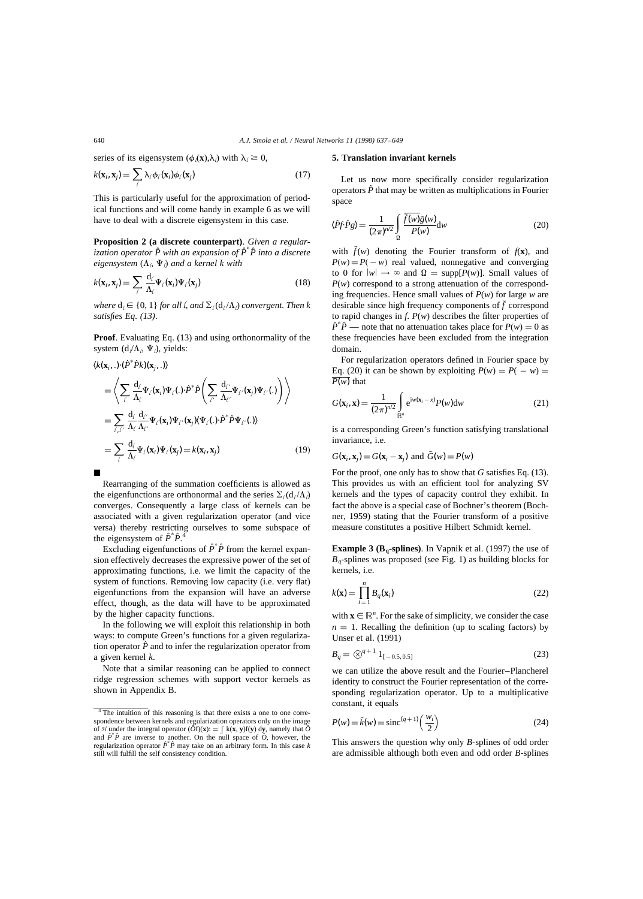series of its eigensystem  $(\phi_{\ell}(\mathbf{x}),\lambda_{\ell})$  with  $\lambda_{\ell} \geq 0$ ,

$$
k(\mathbf{x}_i, \mathbf{x}_j) = \sum_{\ell} \lambda_{\ell} \phi_{\ell}(\mathbf{x}_i) \phi_{\ell}(\mathbf{x}_j)
$$
(17)

This is particularly useful for the approximation of periodical functions and will come handy in example 6 as we will have to deal with a discrete eigensystem in this case.

**Proposition 2 (a discrete counterpart)**. *Given a regularization operator*  $\hat{P}$  with an expansion of  $\hat{P}^* \hat{P}$  into a discrete  $eigensystem\left(\Lambda_{l},\Psi_{l}\right)$  and a kernel k with

$$
k(\mathbf{x}_i, \mathbf{x}_j) = \sum_{\ell} \frac{d_{\ell}}{\Lambda_{\ell}} \Psi_{\ell}(\mathbf{x}_i) \Psi_{\ell}(\mathbf{x}_j)
$$
(18)

*where*  $d_l \in \{0, 1\}$  *for all*  $l$ *, and*  $\Sigma_l(d_l/\Lambda_l)$  *convergent. Then k satisfies Eq. (13)*.

**Proof**. Evaluating Eq. (13) and using orthonormality of the system  $(d/\Lambda, \Psi)$ , yields:

$$
\langle k(\mathbf{x}_i,.)\cdot(\hat{P}^*\hat{P}k)(\mathbf{x}_j,.)\rangle
$$
\n
$$
= \left\langle \sum_{\ell} \frac{d_{\ell}}{\Lambda_{\ell}} \Psi_{\ell}(\mathbf{x}_i) \Psi_{\ell}(.)\cdot \hat{P}^*\hat{P}\left(\sum_{\ell'} \frac{d_{\ell'}}{\Lambda_{\ell'}} \Psi_{\ell'}(\mathbf{x}_j) \Psi_{\ell'}(.)\right) \right\rangle
$$
\n
$$
= \sum_{\ell,\ell'} \frac{d_{\ell}}{\Lambda_{\ell}} \frac{d_{\ell'}}{\Lambda_{\ell'}} \Psi_{\ell}(\mathbf{x}_i) \Psi_{\ell'}(\mathbf{x}_j) \langle \Psi_{\ell}(.)\cdot \hat{P}^*\hat{P}\Psi_{\ell'}(.)\rangle
$$
\n
$$
= \sum_{\ell} \frac{d_{\ell}}{\Lambda_{\ell}} \Psi_{\ell}(\mathbf{x}_i) \Psi_{\ell}(\mathbf{x}_j) = k(\mathbf{x}_i, \mathbf{x}_j) \tag{19}
$$

Rearranging of the summation coefficients is allowed as the eigenfunctions are orthonormal and the series  $\Sigma_l(\mathbf{d}_l / \mathbf{\Lambda}_l)$ converges. Consequently a large class of kernels can be associated with a given regularization operator (and vice versa) thereby restricting ourselves to some subspace of the eigensystem of  $\hat{P}^* \hat{P}$ <sup>4</sup>

Excluding eigenfunctions of  $\hat{P}^* \hat{P}$  from the kernel expansion effectively decreases the expressive power of the set of approximating functions, i.e. we limit the capacity of the system of functions. Removing low capacity (i.e. very flat) eigenfunctions from the expansion will have an adverse effect, though, as the data will have to be approximated by the higher capacity functions.

In the following we will exploit this relationship in both ways: to compute Green's functions for a given regularization operator  $\hat{P}$  and to infer the regularization operator from a given kernel *k*.

Note that a similar reasoning can be applied to connect ridge regression schemes with support vector kernels as shown in Appendix B.

## **5. Translation invariant kernels**

Let us now more specifically consider regularization operators  $\hat{P}$  that may be written as multiplications in Fourier space

$$
\langle \hat{P}f \cdot \hat{P}g \rangle = \frac{1}{(2\pi)^{n/2}} \int_{\Omega} \frac{\overline{\tilde{f}(w)}\tilde{g}(w)}{P(w)} dw
$$
 (20)

with  $\tilde{f}(w)$  denoting the Fourier transform of  $f(\mathbf{x})$ , and  $P(w) = P(-w)$  real valued, nonnegative and converging to 0 for  $|w| \to \infty$  and  $\Omega = \text{supp}[P(w)]$ . Small values of *P*(*w*) correspond to a strong attenuation of the corresponding frequencies. Hence small values of *P*(*w*) for large *w* are desirable since high frequency components of  $\tilde{f}$  correspond to rapid changes in *f*. *P*(*w*) describes the filter properties of  $\hat{P}^* \hat{P}$  — note that no attenuation takes place for  $P(w) = 0$  as these frequencies have been excluded from the integration domain.

For regularization operators defined in Fourier space by Eq. (20) it can be shown by exploiting  $P(w) = P(-w) =$  $\overline{P(w)}$  that

$$
G(\mathbf{x}_i, \mathbf{x}) = \frac{1}{(2\pi)^{n/2}} \int_{\mathbb{R}^n} e^{iw(\mathbf{x}_i - x)} P(w) dw
$$
 (21)

is a corresponding Green's function satisfying translational invariance, i.e.

$$
G(\mathbf{x}_i, \mathbf{x}_j) = G(\mathbf{x}_i - \mathbf{x}_j)
$$
 and  $\tilde{G}(w) = P(w)$ 

For the proof, one only has to show that *G* satisfies Eq. (13). This provides us with an efficient tool for analyzing SV kernels and the types of capacity control they exhibit. In fact the above is a special case of Bochner's theorem (Bochner, 1959) stating that the Fourier transform of a positive measure constitutes a positive Hilbert Schmidt kernel.

**Example 3 (B<sub>q</sub>-splines)**. In Vapnik et al. (1997) the use of  $B<sub>a</sub>$ -splines was proposed (see Fig. 1) as building blocks for kernels, i.e.

$$
k(\mathbf{x}) = \prod_{i=1}^{n} B_q(\mathbf{x}_i)
$$
 (22)

with  $\mathbf{x} \in \mathbb{R}^n$ . For the sake of simplicity, we consider the case  $n = 1$ . Recalling the definition (up to scaling factors) by Unser et al. (1991)

$$
B_q = \bigotimes^{q+1} 1_{[-0.5, 0.5]}
$$
 (23)

we can utilize the above result and the Fourier–Plancherel identity to construct the Fourier representation of the corresponding regularization operator. Up to a multiplicative constant, it equals

$$
P(w) = \tilde{k}(w) = \text{sinc}^{(q+1)}\left(\frac{w_i}{2}\right)
$$
 (24)

This answers the question why only *B*-splines of odd order are admissible although both even and odd order *B*-splines

<sup>&</sup>lt;sup>4</sup> The intuition of this reasoning is that there exists a one to one correspondence between kernels and regularization operators only on the image of *H* under the integral operator  $(\tilde{\partial}f)(\mathbf{x})$ : =  $\int k(\mathbf{x}, \mathbf{y})f(\mathbf{y}) d\mathbf{y}$ , namely that  $\tilde{\partial}$ and  $\hat{P}^* \hat{P}$  are inverse to another. On the null space of  $\hat{O}$ , however, the regularization operator  $\hat{P}^* \hat{P}$  may take on an arbitrary form. In this case *k* still will fulfill the self consistency condition.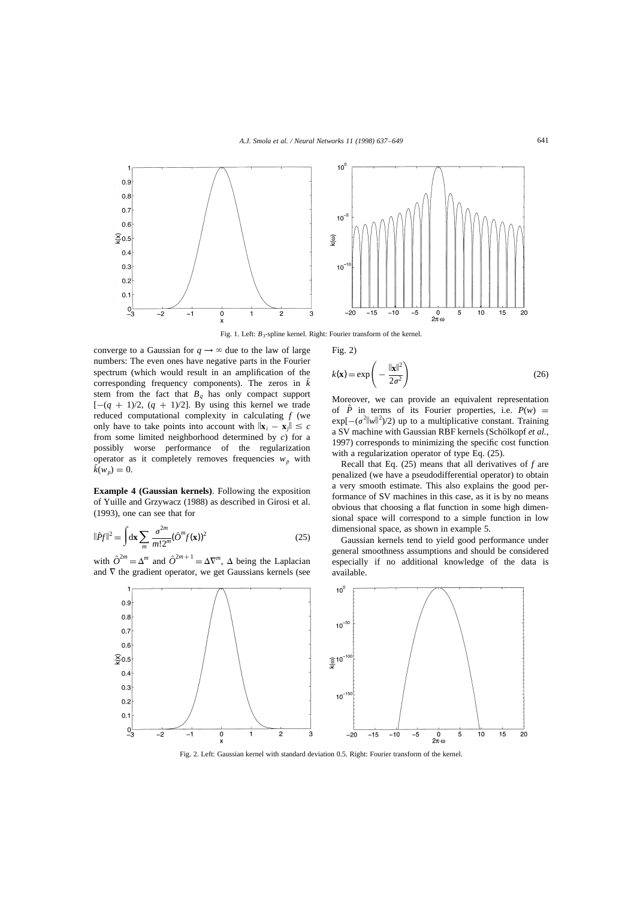

Fig. 1. Left:  $B_3$ -spline kernel. Right: Fourier transform of the kernel.

converge to a Gaussian for  $q \rightarrow \infty$  due to the law of large numbers: The even ones have negative parts in the Fourier spectrum (which would result in an amplification of the corresponding frequency components). The zeros in  $\tilde{k}$ stem from the fact that  $B_q$  has only compact support  $[-(q + 1)/2, (q + 1)/2]$ . By using this kernel we trade reduced computational complexity in calculating *f* (we only have to take points into account with  $\|\mathbf{x}_i - \mathbf{x}_j\| \leq c$ from some limited neighborhood determined by *c*) for a possibly worse performance of the regularization operator as it completely removes frequencies  $w_p$  with  $\tilde{k}(w_p) = 0.$ 

**Example 4 (Gaussian kernels)**. Following the exposition of Yuille and Grzywacz (1988) as described in Girosi et al. (1993), one can see that for

$$
\|\hat{P}f\|^2 = \int \mathrm{d}\mathbf{x} \sum_m \frac{\sigma^{2m}}{m!2^m} (\hat{O}^m f(\mathbf{x}))^2 \tag{25}
$$

with  $\hat{O}^{2m} = \Delta^m$  and  $\hat{O}^{2m+1} = \Delta \nabla^m$ ,  $\Delta$  being the Laplacian and  $\nabla$  the gradient operator, we get Gaussians kernels (see Fig. 2)

$$
k(\mathbf{x}) = \exp\left(-\frac{\|\mathbf{x}\|^2}{2\sigma^2}\right) \tag{26}
$$

Moreover, we can provide an equivalent representation of  $\hat{P}$  in terms of its Fourier properties, i.e.  $P(w)$  =  $exp[-(\sigma^2 ||w||^2)/2)$  up to a multiplicative constant. Training a SV machine with Gaussian RBF kernels (Schölkopf et al., 1997) corresponds to minimizing the specific cost function with a regularization operator of type Eq. (25).

Recall that Eq. (25) means that all derivatives of *f* are penalized (we have a pseudodifferential operator) to obtain a very smooth estimate. This also explains the good performance of SV machines in this case, as it is by no means obvious that choosing a flat function in some high dimensional space will correspond to a simple function in low dimensional space, as shown in example 5.

Gaussian kernels tend to yield good performance under general smoothness assumptions and should be considered especially if no additional knowledge of the data is available.



Fig. 2. Left: Gaussian kernel with standard deviation 0.5. Right: Fourier transform of the kernel.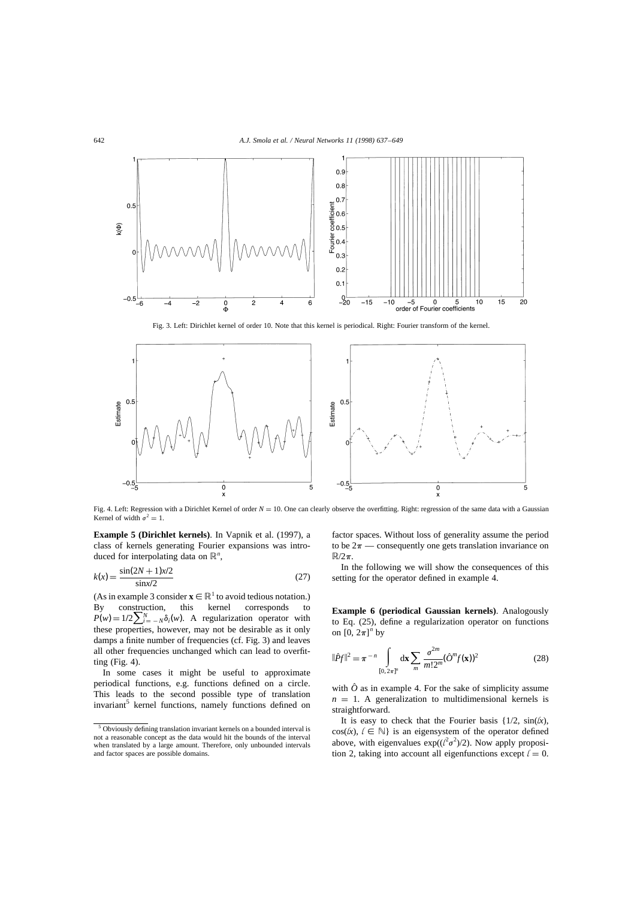

Fig. 3. Left: Dirichlet kernel of order 10. Note that this kernel is periodical. Right: Fourier transform of the kernel.



Fig. 4. Left: Regression with a Dirichlet Kernel of order  $N = 10$ . One can clearly observe the overfitting. Right: regression of the same data with a Gaussian Kernel of width  $\sigma^2 = 1$ .

**Example 5 (Dirichlet kernels)**. In Vapnik et al. (1997), a class of kernels generating Fourier expansions was introduced for interpolating data on  $\mathbb{R}^n$ ,

$$
k(x) = \frac{\sin(2N+1)x/2}{\sin x/2}
$$
 (27)

(As in example 3 consider  $\mathbf{x} \in \mathbb{R}^1$  to avoid tedious notation.) By construction, this kernel corresponds to  $P(w) = 1/2 \sum_{i=-N}^{N} \delta_i(w)$ . A regularization operator with these properties, however, may not be desirable as it only damps a finite number of frequencies (cf. Fig. 3) and leaves all other frequencies unchanged which can lead to overfitting (Fig. 4).

In some cases it might be useful to approximate periodical functions, e.g. functions defined on a circle. This leads to the second possible type of translation invariant<sup>5</sup> kernel functions, namely functions defined on factor spaces. Without loss of generality assume the period to be  $2\pi$  — consequently one gets translation invariance on  $\mathbb{R}/2\pi$ .

In the following we will show the consequences of this setting for the operator defined in example 4.

**Example 6 (periodical Gaussian kernels)**. Analogously to Eq. (25), define a regularization operator on functions on  $[0, 2\pi]^n$  by

$$
\|\hat{P}f\|^2 = \pi^{-n} \int_{[0,2\pi]^n} dx \sum_m \frac{\sigma^{2m}}{m!2^m} (\hat{O}^m f(\mathbf{x}))^2
$$
 (28)

with  $\hat{O}$  as in example 4. For the sake of simplicity assume  $n = 1$ . A generalization to multidimensional kernels is straightforward.

It is easy to check that the Fourier basis  $\{1/2, \sin(k)\}$ ,  $cos(k), \ell \in \mathbb{N}$  is an eigensystem of the operator defined above, with eigenvalues  $exp((\ell^2 \sigma^2)/2)$ . Now apply proposition 2, taking into account all eigenfunctions except  $l = 0$ .

 $5$  Obviously defining translation invariant kernels on a bounded interval is not a reasonable concept as the data would hit the bounds of the interval when translated by a large amount. Therefore, only unbounded intervals and factor spaces are possible domains.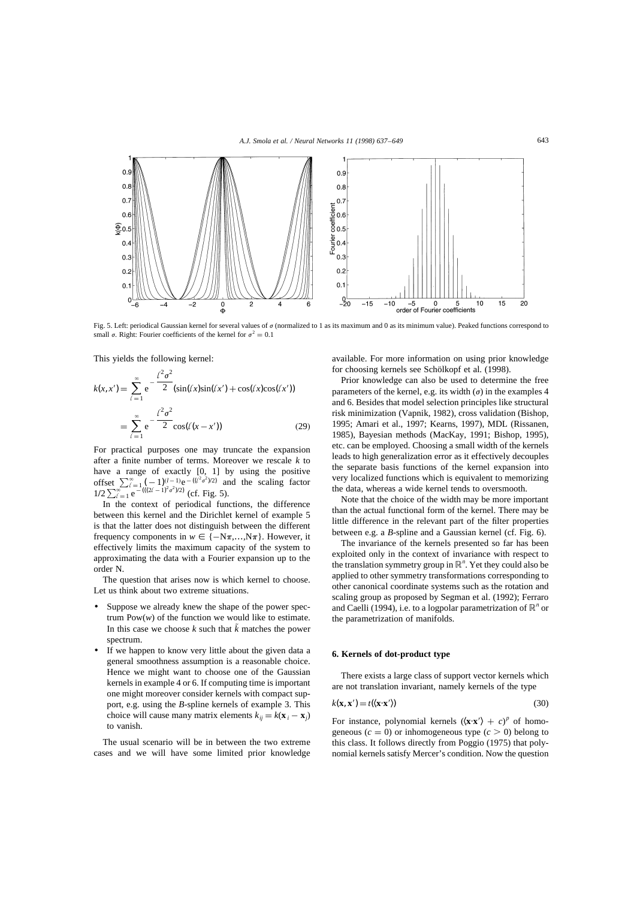

Fig. 5. Left: periodical Gaussian kernel for several values of  $\sigma$  (normalized to 1 as its maximum and 0 as its minimum value). Peaked functions correspond to small  $\sigma$ . Right: Fourier coefficients of the kernel for  $\sigma^2 = 0.1$ 

This yields the following kernel:

$$
k(x, x') = \sum_{\ell=1}^{\infty} e^{-\frac{\ell^2 \sigma^2}{2}} (\sin(\ell x) \sin(\ell x') + \cos(\ell x) \cos(\ell x'))
$$
  
= 
$$
\sum_{\ell=1}^{\infty} e^{-\frac{\ell^2 \sigma^2}{2}} \cos(\ell (x - x'))
$$
 (29)

For practical purposes one may truncate the expansion after a finite number of terms. Moreover we rescale *k* to have a range of exactly [0, 1] by using the positive offset  $\sum_{\ell=1}^{\infty} \left( -1 \right)^{(l-1)} e^{-\left( \frac{(\ell^2 \sigma^2)}{2} \right)}$  and the scaling factor  $\frac{1}{2} \sum_{\ell=1}^{\infty} e^{-\frac{(x-\ell)(2\ell-1)^2 \sigma^2}{2}}$  (cf. Fig. 5).

In the context of periodical functions, the difference between this kernel and the Dirichlet kernel of example 5 is that the latter does not distinguish between the different frequency components in  $w \in \{-N\pi,...,N\pi\}$ . However, it effectively limits the maximum capacity of the system to approximating the data with a Fourier expansion up to the order N.

The question that arises now is which kernel to choose. Let us think about two extreme situations.

- Suppose we already knew the shape of the power spectrum  $Pow(w)$  of the function we would like to estimate. In this case we choose  $k$  such that  $\tilde{k}$  matches the power spectrum.
- If we happen to know very little about the given data a general smoothness assumption is a reasonable choice. Hence we might want to choose one of the Gaussian kernels in example 4 or 6. If computing time is important one might moreover consider kernels with compact support, e.g. using the *B*-spline kernels of example 3. This choice will cause many matrix elements  $k_{ii} = k(\mathbf{x}_i - \mathbf{x}_i)$ to vanish.

The usual scenario will be in between the two extreme cases and we will have some limited prior knowledge available. For more information on using prior knowledge for choosing kernels see Schölkopf et al. (1998).

Prior knowledge can also be used to determine the free parameters of the kernel, e.g. its width  $(\sigma)$  in the examples 4 and 6. Besides that model selection principles like structural risk minimization (Vapnik, 1982), cross validation (Bishop, 1995; Amari et al., 1997; Kearns, 1997), MDL (Rissanen, 1985), Bayesian methods (MacKay, 1991; Bishop, 1995), etc. can be employed. Choosing a small width of the kernels leads to high generalization error as it effectively decouples the separate basis functions of the kernel expansion into very localized functions which is equivalent to memorizing the data, whereas a wide kernel tends to oversmooth.

Note that the choice of the width may be more important than the actual functional form of the kernel. There may be little difference in the relevant part of the filter properties between e.g. a *B*-spline and a Gaussian kernel (cf. Fig. 6).

The invariance of the kernels presented so far has been exploited only in the context of invariance with respect to the translation symmetry group in  $\mathbb{R}^n$ . Yet they could also be applied to other symmetry transformations corresponding to other canonical coordinate systems such as the rotation and scaling group as proposed by Segman et al. (1992); Ferraro and Caelli (1994), i.e. to a logpolar parametrization of  $\mathbb{R}^n$  or the parametrization of manifolds.

#### **6. Kernels of dot-product type**

There exists a large class of support vector kernels which are not translation invariant, namely kernels of the type

$$
k(\mathbf{x}, \mathbf{x}') = t(\langle \mathbf{x} \cdot \mathbf{x}' \rangle) \tag{30}
$$

For instance, polynomial kernels  $(\langle \mathbf{x} \cdot \mathbf{x}' \rangle + c)^p$  of homogeneous  $(c = 0)$  or inhomogeneous type  $(c > 0)$  belong to this class. It follows directly from Poggio (1975) that polynomial kernels satisfy Mercer's condition. Now the question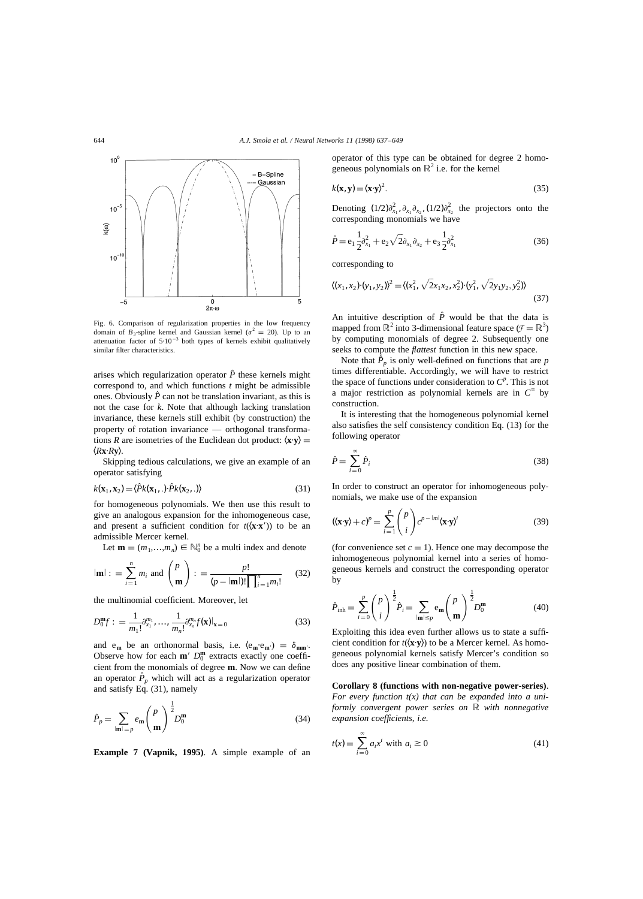

Fig. 6. Comparison of regularization properties in the low frequency domain of  $B_3$ -spline kernel and Gaussian kernel ( $\sigma^2 = 20$ ). Up to an attenuation factor of  $5.10^{-3}$  both types of kernels exhibit qualitatively similar filter characteristics.

arises which regularization operator  $\hat{P}$  these kernels might correspond to, and which functions *t* might be admissible ones. Obviously  $\hat{P}$  can not be translation invariant, as this is not the case for *k*. Note that although lacking translation invariance, these kernels still exhibit (by construction) the property of rotation invariance — orthogonal transformations *R* are isometries of the Euclidean dot product:  $\langle \mathbf{x} \cdot \mathbf{y} \rangle =$  $\langle R$ **x**·*R***y**).

Skipping tedious calculations, we give an example of an operator satisfying

$$
k(\mathbf{x}_1, \mathbf{x}_2) = \langle \hat{P}k(\mathbf{x}_1, .) \cdot \hat{P}k(\mathbf{x}_2, .) \rangle \tag{31}
$$

for homogeneous polynomials. We then use this result to give an analogous expansion for the inhomogeneous case, and present a sufficient condition for  $t(\mathbf{x} \cdot \mathbf{x}')$  to be an admissible Mercer kernel.

Let  $\mathbf{m} = (m_1, \dots, m_n) \in \mathbb{N}_0^n$  be a multi index and denote

$$
|\mathbf{m}|
$$
 : =  $\sum_{i=1}^{n} m_i$  and  $\binom{p}{\mathbf{m}}$  : =  $\frac{p!}{(p-|\mathbf{m}|)! \prod_{i=1}^{n} m_i!}$  (32)

the multinomial coefficient. Moreover, let

$$
D_0^{\mathbf{m}}f: = \frac{1}{m_1!} \partial_{x_1}^{m_1}, \dots, \frac{1}{m_n!} \partial_{x_n}^{m_n} f(\mathbf{x})|_{\mathbf{x}=0}
$$
(33)

and  $e_m$  be an orthonormal basis, i.e.  $\langle e_m \cdot e_m \cdot e_m \rangle = \delta_{mm'}$ . Observe how for each  $m'$   $D_0^m$  extracts exactly one coefficient from the monomials of degree **m**. Now we can define an operator  $\hat{P}_p$  which will act as a regularization operator and satisfy Eq. (31), namely

$$
\hat{P}_p = \sum_{|\mathbf{m}| = p} e_{\mathbf{m}} \binom{p}{\mathbf{m}}^{\frac{1}{2}} D_0^{\mathbf{m}} \tag{34}
$$

**Example 7 (Vapnik, 1995)**. A simple example of an

operator of this type can be obtained for degree 2 homogeneous polynomials on  $\mathbb{R}^2$  i.e. for the kernel

$$
k(\mathbf{x}, \mathbf{y}) = \langle \mathbf{x} \cdot \mathbf{y} \rangle^2. \tag{35}
$$

Denoting  $(1/2)\partial_{x_1}^2$ ,  $\partial_{x_1}\partial_{x_2}$ ,  $(1/2)\partial_{x_2}^2$  the projectors onto the corresponding monomials we have

$$
\hat{P} = e_1 \frac{1}{2} \partial_{x_1}^2 + e_2 \sqrt{2} \partial_{x_1} \partial_{x_2} + e_3 \frac{1}{2} \partial_{x_1}^2 \tag{36}
$$

corresponding to

$$
\langle (x_1, x_2) \cdot (y_1, y_2) \rangle^2 = \langle (x_1^2, \sqrt{2}x_1x_2, x_2^2) \cdot (y_1^2, \sqrt{2}y_1y_2, y_2^2) \rangle
$$
\n(37)

An intuitive description of  $\hat{P}$  would be that the data is mapped from  $\mathbb{R}^2$  into 3-dimensional feature space  $(\mathcal{F} = \mathbb{R}^3)$ by computing monomials of degree 2. Subsequently one seeks to compute the *flattest* function in this new space.

Note that  $\hat{P}_p$  is only well-defined on functions that are p times differentiable. Accordingly, we will have to restrict the space of functions under consideration to  $C^p$ . This is not a major restriction as polynomial kernels are in  $C^{\infty}$  by construction.

It is interesting that the homogeneous polynomial kernel also satisfies the self consistency condition Eq. (13) for the following operator

$$
\hat{P} = \sum_{i=0}^{\infty} \hat{P}_i
$$
\n(38)

In order to construct an operator for inhomogeneous polynomials, we make use of the expansion

$$
(\langle \mathbf{x} \cdot \mathbf{y} \rangle + c)^p = \sum_{i=1}^p \binom{p}{i} c^{p-|m|} \langle \mathbf{x} \cdot \mathbf{y} \rangle^i \tag{39}
$$

(for convenience set  $c = 1$ ). Hence one may decompose the inhomogeneous polynomial kernel into a series of homogeneous kernels and construct the corresponding operator by

$$
\hat{P}_{\text{inh}} = \sum_{i=0}^{p} {p \choose i}^{\frac{1}{2}} \hat{P}_i = \sum_{|\mathbf{m}| \le p} e_{\mathbf{m}} {p \choose \mathbf{m}}^{\frac{1}{2}} D_0^{\mathbf{m}} \tag{40}
$$

Exploiting this idea even further allows us to state a sufficient condition for  $t(\langle \mathbf{x} \cdot \mathbf{y} \rangle)$  to be a Mercer kernel. As homogeneous polynomial kernels satisfy Mercer's condition so does any positive linear combination of them.

**Corollary 8 (functions with non-negative power-series)**.

*For every function t(x) that can be expanded into a uniformly convergent power series on* R *with nonnegative expansion coefficients, i.e.*

$$
t(x) = \sum_{i=0}^{\infty} a_i x^i \text{ with } a_i \ge 0
$$
 (41)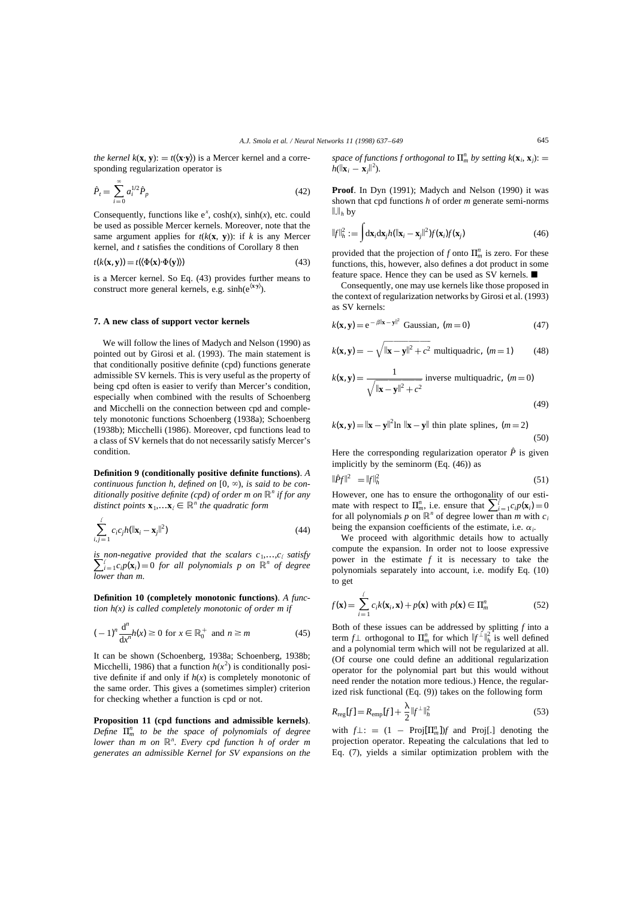*the kernel k*(**x**, **y**):  $= t(\langle \mathbf{x} \cdot \mathbf{y} \rangle)$  is a Mercer kernel and a corresponding regularization operator is

$$
\hat{P}_t = \sum_{i=0}^{\infty} a_i^{1/2} \hat{P}_p
$$
\n(42)

Consequently, functions like  $e^x$ ,  $cosh(x)$ ,  $sinh(x)$ , etc. could be used as possible Mercer kernels. Moreover, note that the same argument applies for  $t(k(\mathbf{x}, \mathbf{y}))$ : if *k* is any Mercer kernel, and *t* satisfies the conditions of Corollary 8 then

$$
t(k(\mathbf{x}, \mathbf{y})) = t(\langle \Phi(\mathbf{x}) \cdot \Phi(\mathbf{y}) \rangle)
$$
\n(43)

is a Mercer kernel. So Eq. (43) provides further means to construct more general kernels, e.g. sinh(e<sup> $\langle x \cdot y \rangle$ </sup>).

## **7. A new class of support vector kernels**

We will follow the lines of Madych and Nelson (1990) as pointed out by Girosi et al. (1993). The main statement is that conditionally positive definite (cpd) functions generate admissible SV kernels. This is very useful as the property of being cpd often is easier to verify than Mercer's condition, especially when combined with the results of Schoenberg and Micchelli on the connection between cpd and completely monotonic functions Schoenberg (1938a); Schoenberg (1938b); Micchelli (1986). Moreover, cpd functions lead to a class of SV kernels that do not necessarily satisfy Mercer's condition.

**Definition 9 (conditionally positive definite functions)**. *A continuous function h, defined on*  $[0, \infty)$ *, is said to be conditionally positive definite (cpd) of order m on* R*<sup>n</sup> if for any distinct points*  $\mathbf{x}_1, \ldots, \mathbf{x}_l \in \mathbb{R}^n$  *the quadratic form* 

$$
\sum_{i,j=1}^{\ell} c_i c_j h(\|\mathbf{x}_i - \mathbf{x}_j\|^2)
$$
\n(44)

*is non-negative provided that the scalars*  $c_1, ..., c_\ell$  *satisfy*  $\sum_{i=1}^{\ell} c_i p(\mathbf{x}_i) = 0$  *for all polynomials p on*  $\mathbb{R}^n$  *of degree lower than m*.

**Definition 10 (completely monotonic functions)**. *A function h(x) is called completely monotonic of order m if*

$$
(-1)^n \frac{d^n}{dx^n} h(x) \ge 0 \text{ for } x \in \mathbb{R}_0^+ \text{ and } n \ge m \tag{45}
$$

It can be shown (Schoenberg, 1938a; Schoenberg, 1938b; Micchelli, 1986) that a function  $h(x^2)$  is conditionally positive definite if and only if  $h(x)$  is completely monotonic of the same order. This gives a (sometimes simpler) criterion for checking whether a function is cpd or not.

**Proposition 11 (cpd functions and admissible kernels)**. *Define*  $\prod_{m}^{n}$  *to be the space of polynomials of degree lower than m on* R*<sup>n</sup>* . *Every cpd function h of order m generates an admissible Kernel for SV expansions on the* *space of functions f orthogonal to*  $\prod_{m}^{n}$  *by setting k*( $\mathbf{x}_i$ ,  $\mathbf{x}_j$ ):  $=$  $h(\|\mathbf{x}_i - \mathbf{x}_j\|^2).$ 

**Proof**. In Dyn (1991); Madych and Nelson (1990) it was shown that cpd functions *h* of order *m* generate semi-norms  $\|.\|_h$  by

$$
||f||_h^2 := \int d\mathbf{x}_i d\mathbf{x}_j h(||\mathbf{x}_i - \mathbf{x}_j||^2) f(\mathbf{x}_i) f(\mathbf{x}_j)
$$
(46)

provided that the projection of *f* onto  $\prod_{m=1}^{n}$  is zero. For these functions, this, however, also defines a dot product in some feature space. Hence they can be used as SV kernels.  $\blacksquare$ 

Consequently, one may use kernels like those proposed in the context of regularization networks by Girosi et al. (1993) as SV kernels:

$$
k(\mathbf{x}, \mathbf{y}) = e^{-\beta \|\mathbf{x} - \mathbf{y}\|^2} \text{ Gaussian}, \ (m = 0) \tag{47}
$$

$$
k(\mathbf{x}, \mathbf{y}) = -\sqrt{\|\mathbf{x} - \mathbf{y}\|^2 + c^2}
$$
 multipuadratic,  $(m = 1)$  (48)

$$
k(\mathbf{x}, \mathbf{y}) = \frac{1}{\sqrt{\|\mathbf{x} - \mathbf{y}\|^2 + c^2}}
$$
 inverse multiquadratic,  $(m = 0)$  (49)

$$
k(\mathbf{x}, \mathbf{y}) = ||\mathbf{x} - \mathbf{y}||^2 \ln ||\mathbf{x} - \mathbf{y}||
$$
 thin plate splines,  $(m = 2)$  (50)

Here the corresponding regularization operator  $\hat{P}$  is given implicitly by the seminorm (Eq. (46)) as

$$
\|\hat{P}f\|^2 = \|f\|^2_h \tag{51}
$$

However, one has to ensure the orthogonality of our estimate with respect to  $\prod_{m}^{n}$ , i.e. ensure that  $\sum_{i=1}^{l} c_i p(\mathbf{x}_i) = 0$ for all polynomials *p* on  $\mathbb{R}^n$  of degree lower than *m* with  $c_i$ being the expansion coefficients of the estimate, i.e.  $\alpha_i$ .

We proceed with algorithmic details how to actually compute the expansion. In order not to loose expressive power in the estimate *f* it is necessary to take the polynomials separately into account, i.e. modify Eq. (10) to get

$$
f(\mathbf{x}) = \sum_{i=1}^{\ell} c_i k(\mathbf{x}_i, \mathbf{x}) + p(\mathbf{x}) \text{ with } p(\mathbf{x}) \in \Pi_m^n \tag{52}
$$

Both of these issues can be addressed by splitting *f* into a term  $f \perp$  orthogonal to  $\prod_{m}^{n}$  for which  $||f^{\perp}||_{h}^{2}$  is well defined and a polynomial term which will not be regularized at all. (Of course one could define an additional regularization operator for the polynomial part but this would without need render the notation more tedious.) Hence, the regularized risk functional (Eq. (9)) takes on the following form

$$
R_{\text{reg}}[f] = R_{\text{emp}}[f] + \frac{\lambda}{2} \|f^{\perp}\|_{h}^{2}
$$
\n(53)

with  $f \perp: = (1 - \text{Proj}[\Pi_m^n])f$  and Proj[.] denoting the projection operator. Repeating the calculations that led to Eq. (7), yields a similar optimization problem with the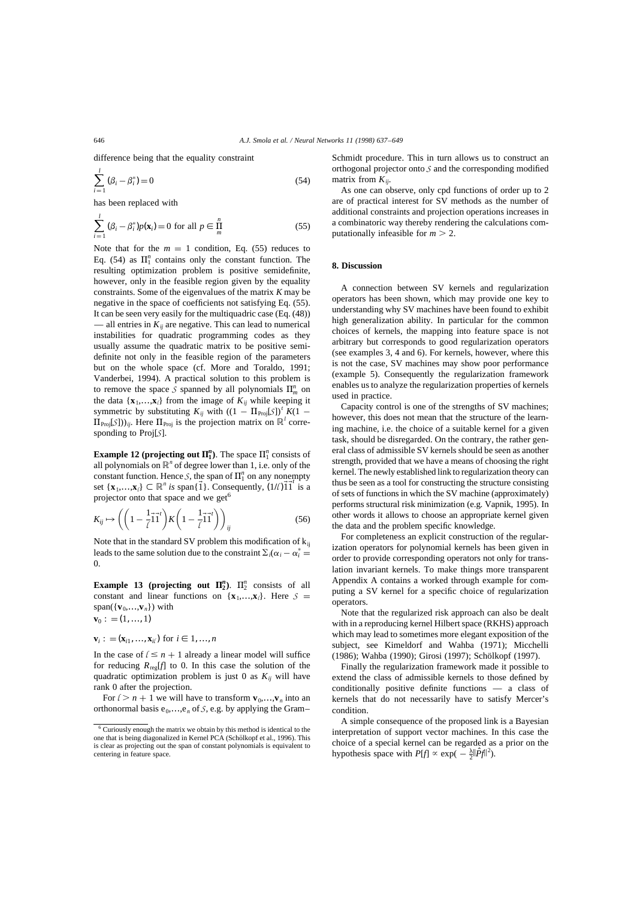difference being that the equality constraint

$$
\sum_{i=1}^{l} (\beta_i - \beta_i^*) = 0
$$
\n(54)

has been replaced with

$$
\sum_{i=1}^{l} (\beta_i - \beta_i^*) p(\mathbf{x}_i) = 0 \text{ for all } p \in \prod_{m}^{n}
$$
 (55)

Note that for the  $m = 1$  condition, Eq. (55) reduces to Eq. (54) as  $\Pi_1^n$  contains only the constant function. The resulting optimization problem is positive semidefinite, however, only in the feasible region given by the equality constraints. Some of the eigenvalues of the matrix *K* may be negative in the space of coefficients not satisfying Eq. (55). It can be seen very easily for the multiquadric case (Eq. (48)) — all entries in  $K_{ii}$  are negative. This can lead to numerical instabilities for quadratic programming codes as they usually assume the quadratic matrix to be positive semidefinite not only in the feasible region of the parameters but on the whole space (cf. More and Toraldo, 1991; Vanderbei, 1994). A practical solution to this problem is to remove the space *S* spanned by all polynomials  $\Pi_m^n$  on the data  $\{x_1, \ldots, x_l\}$  from the image of  $K_{ij}$  while keeping it symmetric by substituting  $K_{ij}$  with  $((1 - \Pi_{Proj}[S])^t K(1 \Pi_{\text{Proj}}(S)$ )<sub>*ij*</sub>. Here  $\Pi_{\text{Proj}}$  is the projection matrix on  $\mathbb{R}^l$  corresponding to Proj[*S*].

**Example 12 (projecting out**  $\Pi_1^n$ **).** The space  $\Pi_1^n$  consists of all polynomials on  $\mathbb{R}^n$  of degree lower than 1, i.e. only of the constant function. Hence *S*, the span of  $\Pi_1^n$  on any nonempty set  $\{x_1,...,x_\ell\} \subset \mathbb{R}^n$  *is* span $\{\vec{1}\}\$ . Consequently,  $(1/\ell)\vec{1}\vec{1}$  is a projector onto that space and we get<sup>6</sup>

$$
K_{ij} \mapsto \left( \left( 1 - \frac{1}{\ell} \vec{1} \vec{1}' \right) K \left( 1 - \frac{1}{\ell} \vec{1} \vec{1}' \right) \right)_{ij} \tag{56}
$$

Note that in the standard SV problem this modification of  $k_{ii}$ leads to the same solution due to the constraint  $\Sigma_i(\alpha_i - \alpha_i^* =$ 0.

**Example 13 (projecting out**  $\Pi_2^n$ **).**  $\Pi_2^n$  consists of all constant and linear functions on  $\{x_1, \ldots, x_\ell\}$ . Here  $S =$ span( $\{v_0, \ldots, v_n\}$ ) with  $= (1, ..., 1)$ 

$$
\mathbf{v}_0:=(1,...,1)
$$

$$
\mathbf{v}_i:=(\mathbf{x}_{i1},...,\mathbf{x}_{i\ell})\text{ for }i\in 1,...,n
$$

In the case of  $l \leq n + 1$  already a linear model will suffice for reducing  $R_{\text{reg}}[f]$  to 0. In this case the solution of the quadratic optimization problem is just 0 as  $K_{ij}$  will have rank 0 after the projection.

For  $l > n + 1$  we will have to transform  $\mathbf{v}_0, \dots, \mathbf{v}_n$  into an orthonormal basis  $e_0$ ,..., $e_n$  of *S*, e.g. by applying the Gram–

Schmidt procedure. This in turn allows us to construct an orthogonal projector onto *S* and the corresponding modified matrix from  $K_{ii}$ .

As one can observe, only cpd functions of order up to 2 are of practical interest for SV methods as the number of additional constraints and projection operations increases in a combinatoric way thereby rendering the calculations computationally infeasible for  $m > 2$ .

#### **8. Discussion**

A connection between SV kernels and regularization operators has been shown, which may provide one key to understanding why SV machines have been found to exhibit high generalization ability. In particular for the common choices of kernels, the mapping into feature space is not arbitrary but corresponds to good regularization operators (see examples 3, 4 and 6). For kernels, however, where this is not the case, SV machines may show poor performance (example 5). Consequently the regularization framework enables us to analyze the regularization properties of kernels used in practice.

Capacity control is one of the strengths of SV machines; however, this does not mean that the structure of the learning machine, i.e. the choice of a suitable kernel for a given task, should be disregarded. On the contrary, the rather general class of admissible SV kernels should be seen as another strength, provided that we have a means of choosing the right kernel. The newly established link to regularization theory can thus be seen as a tool for constructing the structure consisting of sets of functions in which the SV machine (approximately) performs structural risk minimization (e.g. Vapnik, 1995). In other words it allows to choose an appropriate kernel given the data and the problem specific knowledge.

For completeness an explicit construction of the regularization operators for polynomial kernels has been given in order to provide corresponding operators not only for translation invariant kernels. To make things more transparent Appendix A contains a worked through example for computing a SV kernel for a specific choice of regularization operators.

Note that the regularized risk approach can also be dealt with in a reproducing kernel Hilbert space (RKHS) approach which may lead to sometimes more elegant exposition of the subject, see Kimeldorf and Wahba (1971); Micchelli (1986); Wahba (1990); Girosi (1997); Schölkopf (1997).

Finally the regularization framework made it possible to extend the class of admissible kernels to those defined by conditionally positive definite functions — a class of kernels that do not necessarily have to satisfy Mercer's condition.

A simple consequence of the proposed link is a Bayesian interpretation of support vector machines. In this case the choice of a special kernel can be regarded as a prior on the hypothesis space with  $P[f] \propto \exp(-\frac{\lambda}{2} ||\hat{P}f||^2)$ .

<sup>6</sup> Curiously enough the matrix we obtain by this method is identical to the one that is being diagonalized in Kernel PCA (Schölkopf et al., 1996). This is clear as projecting out the span of constant polynomials is equivalent to centering in feature space.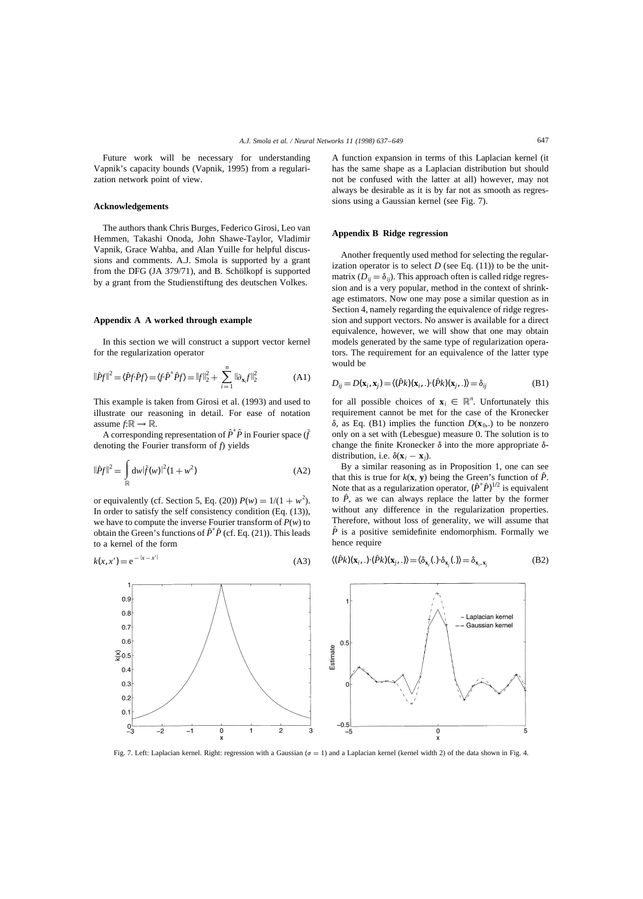Future work will be necessary for understanding Vapnik's capacity bounds (Vapnik, 1995) from a regularization network point of view.

#### **Acknowledgements**

The authors thank Chris Burges, Federico Girosi, Leo van Hemmen, Takashi Onoda, John Shawe-Taylor, Vladimir Vapnik, Grace Wahba, and Alan Yuille for helpful discussions and comments. A.J. Smola is supported by a grant from the DFG (JA  $379/71$ ), and B. Schölkopf is supported by a grant from the Studienstiftung des deutschen Volkes.

## **Appendix A A worked through example**

In this section we will construct a support vector kernel for the regularization operator

$$
\|\hat{P}f\|^2 = \langle \hat{P}f \cdot \hat{P}f \rangle = \langle f \cdot \hat{P}^* \hat{P}f \rangle = \|f\|_2^2 + \sum_{i=1}^n \|\partial_{\mathbf{x}_i} f\|_2^2
$$
 (A1)

This example is taken from Girosi et al. (1993) and used to illustrate our reasoning in detail. For ease of notation assume  $f:\mathbb{R} \to \mathbb{R}$ .

A corresponding representation of  $\hat{P}^* \hat{P}$  in Fourier space  $(\tilde{f}$ denoting the Fourier transform of *f*) yields

$$
\|\hat{P}f\|^2 = \int_{\mathbb{R}} dw |\tilde{f}(w)|^2 (1 + w^2)
$$
 (A2)

or equivalently (cf. Section 5, Eq. (20))  $P(w) = 1/(1 + w^2)$ . In order to satisfy the self consistency condition (Eq. (13)), we have to compute the inverse Fourier transform of *P*(*w*) to obtain the Green's functions of  $\hat{P}^* \hat{P}$  (cf. Eq. (21)). This leads to a kernel of the form

$$
k(x, x') = e^{-|x - x'|}
$$
\n(A3)

 $0.9$  $0.8$ 

 $0<sub>7</sub>$  $0.6$ 

 $\mathfrak{S}_{0.5}$  $04$  $0.3$  $0.2$  $0.1$ 

 $^{0}_{-3}$ 

 $-2$ 

A function expansion in terms of this Laplacian kernel (it has the same shape as a Laplacian distribution but should not be confused with the latter at all) however, may not always be desirable as it is by far not as smooth as regressions using a Gaussian kernel (see Fig. 7).

## **Appendix B Ridge regression**

Another frequently used method for selecting the regularization operator is to select  $D$  (see Eq.  $(11)$ ) to be the unitmatrix  $(D_{ii} = \delta_{ii})$ . This approach often is called ridge regression and is a very popular, method in the context of shrinkage estimators. Now one may pose a similar question as in Section 4, namely regarding the equivalence of ridge regression and support vectors. No answer is available for a direct equivalence, however, we will show that one may obtain models generated by the same type of regularization operators. The requirement for an equivalence of the latter type would be

$$
D_{ij} = D(\mathbf{x}_i, \mathbf{x}_j) = \langle (\hat{P}k)(\mathbf{x}_i, .) \cdot (\hat{P}k)(\mathbf{x}_j, .) \rangle = \delta_{ij}
$$
(B1)

for all possible choices of  $\mathbf{x}_i \in \mathbb{R}^n$ . Unfortunately this requirement cannot be met for the case of the Kronecker  $\delta$ , as Eq. (B1) implies the function  $D(\mathbf{x}_0,.)$  to be nonzero only on a set with (Lebesgue) measure 0. The solution is to change the finite Kronecker  $\delta$  into the more appropriate  $\delta$ distribution, i.e.  $\delta(\mathbf{x}_i - \mathbf{x}_i)$ .

By a similar reasoning as in Proposition 1, one can see that this is true for  $k(x, y)$  being the Green's function of  $\hat{P}$ . Note that as a regularization operator,  $(\hat{P}^*\hat{P})^{1/2}$  is equivalent to  $\hat{P}$ , as we can always replace the latter by the former without any difference in the regularization properties. Therefore, without loss of generality, we will assume that  $\hat{P}$  is a positive semidefinite endomorphism. Formally we hence require

$$
\langle (\hat{P}k)(\mathbf{x}_i,.)\cdot(\hat{P}k)(\mathbf{x}_j,.)\rangle = \langle \delta_{\mathbf{x}_i}(.)\cdot \delta_{\mathbf{x}_j}(.)\rangle = \delta_{\mathbf{x}_i, \mathbf{x}_j}
$$
(B2)



Fig. 7. Left: Laplacian kernel. Right: regression with a Gaussian ( $\sigma = 1$ ) and a Laplacian kernel (kernel width 2) of the data shown in Fig. 4.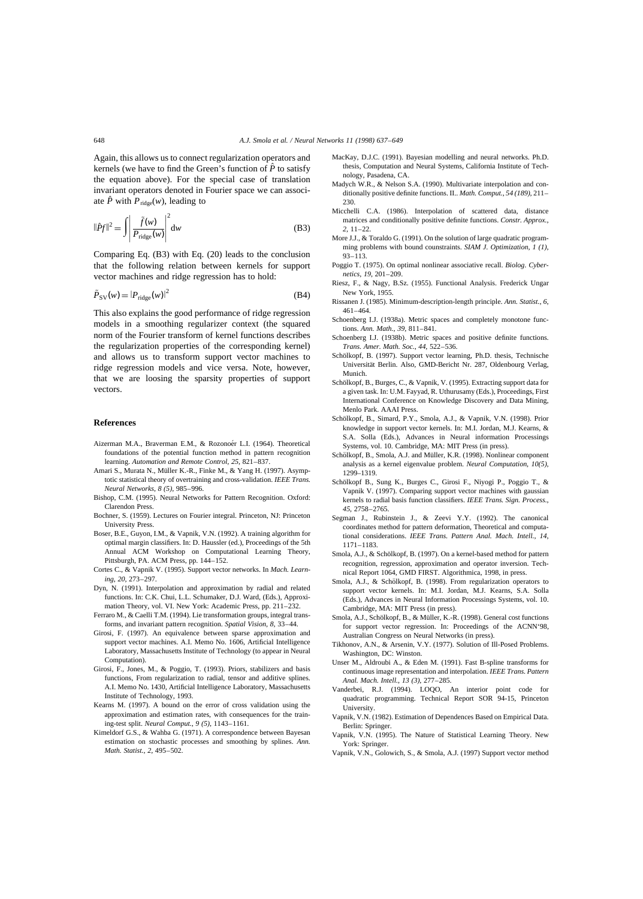Again, this allows us to connect regularization operators and kernels (we have to find the Green's function of  $\hat{P}$  to satisfy the equation above). For the special case of translation invariant operators denoted in Fourier space we can associate  $\hat{P}$  with  $P_{\text{ridge}}(w)$ , leading to

$$
\|\hat{P}f\|^2 = \int \left| \frac{\tilde{f}(w)}{P_{\text{ridge}}(w)} \right|^2 dw \tag{B3}
$$

Comparing Eq. (B3) with Eq. (20) leads to the conclusion that the following relation between kernels for support vector machines and ridge regression has to hold:

$$
\tilde{P}_{SV}(w) = |P_{\text{ridge}}(w)|^2
$$
\n(B4)

This also explains the good performance of ridge regression models in a smoothing regularizer context (the squared norm of the Fourier transform of kernel functions describes the regularization properties of the corresponding kernel) and allows us to transform support vector machines to ridge regression models and vice versa. Note, however, that we are loosing the sparsity properties of support vectors.

#### **References**

- Aizerman M.A., Braverman E.M., & Rozonoér L.I. (1964). Theoretical foundations of the potential function method in pattern recognition learning. *Automation and Remote Control*, *25*, 821–837.
- Amari S., Murata N., Müller K.-R., Finke M., & Yang H. (1997). Asymptotic statistical theory of overtraining and cross-validation. *IEEE Trans. Neural Networks*, *8 (5)*, 985–996.
- Bishop, C.M. (1995). Neural Networks for Pattern Recognition. Oxford: Clarendon Press.
- Bochner, S. (1959). Lectures on Fourier integral. Princeton, NJ: Princeton University Press.
- Boser, B.E., Guyon, I.M., & Vapnik, V.N. (1992). A training algorithm for optimal margin classifiers. In: D. Haussler (ed.), Proceedings of the 5th Annual ACM Workshop on Computational Learning Theory, Pittsburgh, PA. ACM Press, pp. 144–152.
- Cortes C., & Vapnik V. (1995). Support vector networks. In *Mach. Learning*, *20*, 273–297.
- Dyn, N. (1991). Interpolation and approximation by radial and related functions. In: C.K. Chui, L.L. Schumaker, D.J. Ward, (Eds.), Approximation Theory, vol. VI. New York: Academic Press, pp. 211–232.
- Ferraro M., & Caelli T.M. (1994). Lie transformation groups, integral transforms, and invariant pattern recognition. *Spatial Vision*, *8*, 33–44.
- Girosi, F. (1997). An equivalence between sparse approximation and support vector machines. A.I. Memo No. 1606, Artificial Intelligence Laboratory, Massachusetts Institute of Technology (to appear in Neural Computation).
- Girosi, F., Jones, M., & Poggio, T. (1993). Priors, stabilizers and basis functions, From regularization to radial, tensor and additive splines. A.I. Memo No. 1430, Artificial Intelligence Laboratory, Massachusetts Institute of Technology, 1993.
- Kearns M. (1997). A bound on the error of cross validation using the approximation and estimation rates, with consequences for the training-test split. *Neural Comput.*, *9 (5)*, 1143–1161.
- Kimeldorf G.S., & Wahba G. (1971). A correspondence between Bayesan estimation on stochastic processes and smoothing by splines. *Ann. Math. Statist.*, *2*, 495–502.
- MacKay, D.J.C. (1991). Bayesian modelling and neural networks. Ph.D. thesis, Computation and Neural Systems, California Institute of Technology, Pasadena, CA.
- Madych W.R., & Nelson S.A. (1990). Multivariate interpolation and conditionally positive definite functions. II.. *Math. Comput.*, *54 (189)*, 211– 230.
- Micchelli C.A. (1986). Interpolation of scattered data, distance matrices and conditionally positive definite functions. *Constr. Approx.*, *2*, 11–22.
- More J.J., & Toraldo G. (1991). On the solution of large quadratic programming problems with bound counstraints. *SIAM J. Optimization*, *1 (1)*, 93–113.
- Poggio T. (1975). On optimal nonlinear associative recall. *Biolog. Cybernetics*, *19*, 201–209.
- Riesz, F., & Nagy, B.Sz. (1955). Functional Analysis. Frederick Ungar New York, 1955.
- Rissanen J. (1985). Minimum-description-length principle. *Ann. Statist.*, *6*, 461–464.
- Schoenberg I.J. (1938a). Metric spaces and completely monotone functions. *Ann. Math.*, *39*, 811–841.
- Schoenberg I.J. (1938b). Metric spaces and positive definite functions. *Trans. Amer. Math. Soc.*, *44*, 522–536.
- Schölkopf, B. (1997). Support vector learning, Ph.D. thesis, Technische Universität Berlin. Also, GMD-Bericht Nr. 287, Oldenbourg Verlag, Munich.
- Schölkopf, B., Burges, C., & Vapnik, V. (1995). Extracting support data for a given task. In: U.M. Fayyad, R. Uthurusamy (Eds.), Proceedings, First International Conference on Knowledge Discovery and Data Mining, Menlo Park. AAAI Press.
- Schölkopf, B., Simard, P.Y., Smola, A.J., & Vapnik, V.N. (1998). Prior knowledge in support vector kernels. In: M.I. Jordan, M.J. Kearns, & S.A. Solla (Eds.), Advances in Neural information Processings Systems, vol. 10. Cambridge, MA: MIT Press (in press).
- Schölkopf, B., Smola, A.J. and Müller, K.R. (1998). Nonlinear component analysis as a kernel eigenvalue problem. *Neural Computation*, *10(5)*, 1299–1319.
- Schölkopf B., Sung K., Burges C., Girosi F., Nivogi P., Poggio T., & Vapnik V. (1997). Comparing support vector machines with gaussian kernels to radial basis function classifiers. *IEEE Trans. Sign. Process.*, *45*, 2758–2765.
- Segman J., Rubinstein J., & Zeevi Y.Y. (1992). The canonical coordinates method for pattern deformation, Theoretical and computational considerations. *IEEE Trans. Pattern Anal. Mach. Intell.*, *14*, 1171–1183.
- Smola, A.J., & Schölkopf, B. (1997). On a kernel-based method for pattern recognition, regression, approximation and operator inversion. Technical Report 1064, GMD FIRST. Algorithmica, 1998, in press.
- Smola, A.J., & Schölkopf, B. (1998). From regularization operators to support vector kernels. In: M.I. Jordan, M.J. Kearns, S.A. Solla (Eds.), Advances in Neural Information Processings Systems, vol. 10. Cambridge, MA: MIT Press (in press).
- Smola, A.J., Schölkopf, B., & Müller, K.-R. (1998). General cost functions for support vector regression. In: Proceedings of the ACNN'98, Australian Congress on Neural Networks (in press).
- Tikhonov, A.N., & Arsenin, V.Y. (1977). Solution of Ill-Posed Problems. Washington, DC: Winston.
- Unser M., Aldroubi A., & Eden M. (1991). Fast B-spline transforms for continuous image representation and interpolation. *IEEE Trans. Pattern Anal. Mach. Intell.*, *13 (3)*, 277–285.
- Vanderbei, R.J. (1994). LOQO, An interior point code for quadratic programming. Technical Report SOR 94-15, Princeton University.
- Vapnik, V.N. (1982). Estimation of Dependences Based on Empirical Data. Berlin: Springer.
- Vapnik, V.N. (1995). The Nature of Statistical Learning Theory. New York: Springer.
- Vapnik, V.N., Golowich, S., & Smola, A.J. (1997) Support vector method